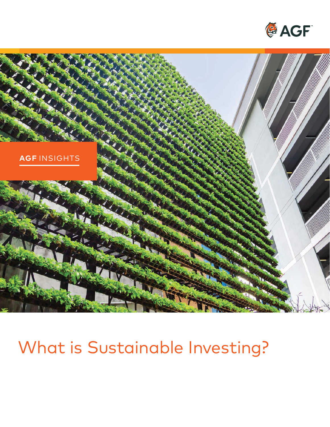



# What is Sustainable Investing?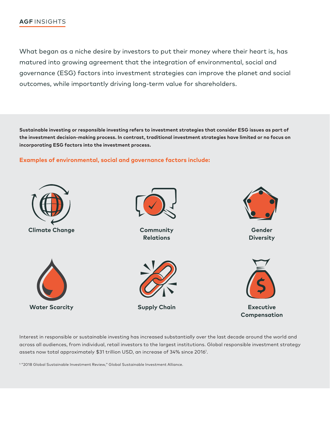#### **AGF** INSIGHTS

What began as a niche desire by investors to put their money where their heart is, has matured into growing agreement that the integration of environmental, social and governance (ESG) factors into investment strategies can improve the planet and social outcomes, while importantly driving long-term value for shareholders.

**Sustainable investing or responsible investing refers to investment strategies that consider ESG issues as part of the investment decision-making process. In contrast, traditional investment strategies have limited or no focus on incorporating ESG factors into the investment process.** 

#### **Examples of environmental, social and governance factors include:**



Interest in responsible or sustainable investing has increased substantially over the last decade around the world and across all audiences, from individual, retail investors to the largest institutions. Global responsible investment strategy assets now total approximately \$31 trillion USD, an increase of 34% since 20161 .

1 "2018 Global Sustainable Investment Review," Global Sustainable Investment Alliance.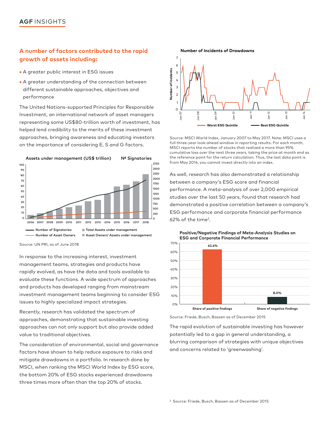## **A number of factors contributed to the rapid Number of Incidents of Drawdowns growth of assets including:** <sup>7</sup>

- A greater public interest in ESG issues
- A greater understanding of the connection between  $\ddot{\tilde{\xi}}^{4}$ A greater public interest in ESG issues<br>
A greater understanding of the connection between<br>
different sustainable approaches, objectives and<br>  $\frac{3}{2}$ <br>  $\frac{3}{2}$ <br>  $\frac{3}{2}$ <br>  $\frac{3}{2}$ performance <sup>2</sup>

The United Nations-supported Principles for Responsible <sup>0</sup> Investment, an international network of asset managers representing some US\$80-trillion worth of investment, has helped lend credibility to the merits of these investment approaches, bringing awareness and educating investors Source: MSCI World Index, January 2007 to May 2017. Note: MSCI uses a



In response to the increasing interest, investment management teams, strategies and products have rapidly evolved, as have the data and tools available to  $40\%$ evaluate these functions. A wide spectrum of approaches 30% and products has developed ranging from mainstream 20% investment management teams beginning to consider ESG 10% **10%** issues to highly specialized impact strategies.

Recently, research has validated the spectrum of approaches, demonstrating that sustainable investing approaches can not only support but also provide added value to traditional objectives.

The consideration of environmental, social and governance factors have shown to help reduce exposure to risks and mitigate drawdowns in a portfolio. In research done by MSCI, when ranking the MSCI World Index by ESG score, the bottom 20% of ESG stocks experienced drawdowns three times more often than the top 20% of stocks.



on the importance of considering E, S and G factors.<br>MSCI reports the number of stocks that realized a more than 95% cumulative loss over the next three years, taking the price at month end as Assets under management (US\$ trillion) Nº Signatories the reference point for the return calculation. Thus, the last data point is 2750 from May 2014, you cannot invest directly into an index.

> 2250 As well, research has also demonstrated a relationship  $\frac{1}{1750}$  between a company's ESG score and financial 1500 performance. A meta-analysis of over 2,000 empirical  $\frac{1250}{1000}$  studies over the last 50 years, found that research had <sup>750</sup> demonstrated a positive correlation between a company's  $\frac{1}{250}$  ESG performance and corporate financial performance <sup>o</sup> 62% of the time<sup>2</sup>.



Source: Friede, Busch, Bassen as of December 2015

The rapid evolution of sustainable investing has however potentially led to a gap in general understanding, a blurring comparison of strategies with unique objectives and concerns related to 'greenwashing'.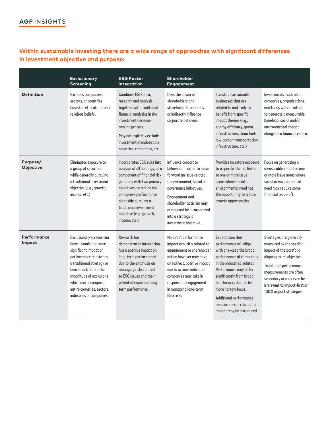## **Within sustainable investing there are a wide range of approaches with significant differences in investment objective and purpose:**

|                       | <b>Exclusionary</b><br><b>Screening</b>                                                                                                                                                                                                                                 | <b>ESG Factor</b><br>Integration                                                                                                                                                                                                                                                  | Shareholder<br>Engagement                                                                                                                                                                                                                                                  |                                                                                                                                                                                                                                                                                                                                 |                                                                                                                                                                                                                                                             |
|-----------------------|-------------------------------------------------------------------------------------------------------------------------------------------------------------------------------------------------------------------------------------------------------------------------|-----------------------------------------------------------------------------------------------------------------------------------------------------------------------------------------------------------------------------------------------------------------------------------|----------------------------------------------------------------------------------------------------------------------------------------------------------------------------------------------------------------------------------------------------------------------------|---------------------------------------------------------------------------------------------------------------------------------------------------------------------------------------------------------------------------------------------------------------------------------------------------------------------------------|-------------------------------------------------------------------------------------------------------------------------------------------------------------------------------------------------------------------------------------------------------------|
| <b>Definition</b>     | Excludes companies,<br>sectors, or countries<br>based on ethical, moral or<br>religious beliefs.                                                                                                                                                                        | Combines ESG data.<br>research and analysis<br>together with traditional<br>financial analytics in the<br>investment decision-<br>making process.<br>May not explicitly exclude<br>investment in undesirable<br>countries, companies, etc.                                        | Uses the power of<br>shareholders and<br>stakeholders to directly<br>or indirectly influence<br>corporate behavior.                                                                                                                                                        | Invests in sustainable<br>businesses that are<br>related to and likely to<br>benefit from specific<br>impact themes (e.g.,<br>energy efficiency, green<br>infrastructure, clean fuels,<br>low-carbon transportation<br>infrastructure, etc.)                                                                                    | Investments made into<br>companies, organizations,<br>and funds with an intent<br>to generate a measurable,<br>beneficial social and/or<br>environmental impact<br>alongside a financial return.                                                            |
| Purpose/<br>Objective | Eliminates exposure to<br>a group of securities<br>while generally pursuing<br>a traditional investment<br>objective (e.g., growth,<br>income, etc.)                                                                                                                    | Incorporates ESG risks into<br>analysis of all holdings, as a<br>component of financial risk<br>generally with two primary<br>objectives, to reduce risk<br>or improve performance<br>alongside pursuing a<br>traditional investment<br>objective (e.g., growth,<br>income, etc.) | Influence corporate<br>behaviour in order to move<br>forward an issue related<br>to environment, social or<br>governance initiatives.<br>Engagement and<br>shareholder activism may<br>or may not be incorporated<br>into a strategy's<br>investment objective.            | Provides investors exposure<br>to a specific theme, linked<br>to one or more issue<br>areas where social or<br>environmental need has<br>the opportunity to create<br>growth opportunities.                                                                                                                                     | Focus on generating a<br>measurable impact in one<br>or more issue areas where<br>social or environmental<br>need may require some<br>financial trade-off.                                                                                                  |
| Performance<br>Impact | Exclusionary screens can<br>have a smaller or more<br>significant impact on<br>performance relative to<br>a traditional strategy or<br>benchmark due to the<br>magnitude of exclusions<br>which can encompass<br>entire countries, sectors,<br>industries or companies. | Research has<br>demonstrated integration<br>has a positive impact on<br>long-term performance<br>due to the emphasis on<br>managing risks related<br>to ESG issues and their<br>potential impact on long-<br>term performance.                                                    | No direct performance<br>impact explicitly related to<br>engagement or shareholder<br>action however may have<br>an indirect, positive impact<br>due to actions individual<br>companies may take in<br>response to engagement<br>in managing long-term<br><b>ESG</b> risks | <b>Expectation that</b><br>performance will align<br>with or exceed the broad<br>performance of companies<br>in the industries isolated.<br>Performance may differ<br>significantly from broad<br>benchmarks due to the<br>more narrow focus.<br>Additional performance<br>measurements related to<br>impact may be introduced. | Strategies are generally<br>measured by the specific<br>impact of the portfolio<br>aligning to its' objective.<br>Traditional performance<br>measurements are often<br>secondary or may even be<br>irrelevant to impact-first or<br>100% impact strategies. |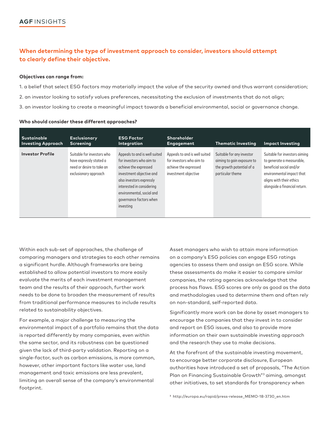## **When determining the type of investment approach to consider, investors should attempt to clearly define their objective.**

#### **Objectives can range from:**

1. a belief that select ESG factors may materially impact the value of the security owned and thus warrant consideration; 2. an investor looking to satisfy values preferences, necessitating the exclusion of investments that do not align; 3. an investor looking to create a meaningful impact towards a beneficial environmental, social or governance change.

| <b>Sustainable</b><br><b>Investing Approach</b> | <b>Exclusionary</b><br><b>Screening</b>                                                                     | <b>ESG Factor</b><br>Integration                                                                                                                                                                                                             | Shareholder<br>Engagement                                                                                  | <b>Thematic Investing</b>                                                                                | <b>Impact Investing</b>                                                                                                                                                          |
|-------------------------------------------------|-------------------------------------------------------------------------------------------------------------|----------------------------------------------------------------------------------------------------------------------------------------------------------------------------------------------------------------------------------------------|------------------------------------------------------------------------------------------------------------|----------------------------------------------------------------------------------------------------------|----------------------------------------------------------------------------------------------------------------------------------------------------------------------------------|
| <b>Investor Profile</b>                         | Suitable for investors who<br>have expressly stated a<br>need or desire to take an<br>exclusionary approach | Appeals to and is well suited<br>for investors who aim to<br>achieve the expressed<br>investment objective and<br>also investors expressly<br>interested in considering<br>environmental, social and<br>governance factors when<br>investing | Appeals to and is well suited<br>for investors who aim to<br>achieve the expressed<br>investment objective | Suitable for any investor<br>aiming to gain exposure to<br>the growth potential of a<br>particular theme | Suitable for investors aiming<br>to generate a measurable,<br>beneficial social and/or<br>environmental impact that<br>aligns with their ethics<br>alongside a financial return. |

| Who should consider these different approaches? |
|-------------------------------------------------|
|-------------------------------------------------|

Within each sub-set of approaches, the challenge of comparing managers and strategies to each other remains a significant hurdle. Although frameworks are being established to allow potential investors to more easily evaluate the merits of each investment management team and the results of their approach, further work needs to be done to broaden the measurement of results from traditional performance measures to include results related to sustainability objectives.

For example, a major challenge to measuring the environmental impact of a portfolio remains that the data is reported differently by many companies, even within the same sector, and its robustness can be questioned given the lack of third-party validation. Reporting on a single-factor, such as carbon emissions, is more common, however, other important factors like water use, land management and toxic emissions are less prevalent, limiting an overall sense of the company's environmental footprint.

Asset managers who wish to attain more information on a company's ESG policies can engage ESG ratings agencies to assess them and assign an ESG score. While these assessments do make it easier to compare similar companies, the rating agencies acknowledge that the process has flaws. ESG scores are only as good as the data and methodologies used to determine them and often rely on non-standard, self-reported data.

Significantly more work can be done by asset managers to encourage the companies that they invest in to consider and report on ESG issues, and also to provide more information on their own sustainable investing approach and the research they use to make decisions.

At the forefront of the sustainable investing movement, to encourage better corporate disclosure, European authorities have introduced a set of proposals, "The Action Plan on Financing Sustainable Growth"<sup>3</sup> aiming, amongst other initiatives, to set standards for transparency when

3 [http://europa.eu/rapid/press-release\\_MEMO-18-3730\\_en.htm](http://europa.eu/rapid/press-release_MEMO-18-3730_en.htm)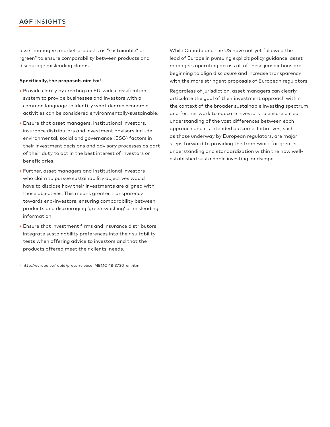#### **AGF** INSIGHTS

asset managers market products as "sustainable" or "green" to ensure comparability between products and discourage misleading claims.

#### **Specifically, the proposals aim to:4**

- • Provide clarity by creating an EU-wide classification system to provide businesses and investors with a common language to identify what degree economic activities can be considered environmentally-sustainable.
- • Ensure that asset managers, institutional investors, insurance distributors and investment advisors include environmental, social and governance (ESG) factors in their investment decisions and advisory processes as part of their duty to act in the best interest of investors or beneficiaries.
- • Further, asset managers and institutional investors who claim to pursue sustainability objectives would have to disclose how their investments are aligned with those objectives. This means greater transparency towards end-investors, ensuring comparability between products and discouraging 'green-washing' or misleading information.
- • Ensure that investment firms and insurance distributors integrate sustainability preferences into their suitability tests when offering advice to investors and that the products offered meet their clients' needs.

4 [http://europa.eu/rapid/press-release\\_MEMO-18-3730\\_en.htm](http://europa.eu/rapid/press-release_MEMO-18-3730_en.htm) 

While Canada and the US have not yet followed the lead of Europe in pursuing explicit policy guidance, asset managers operating across all of these jurisdictions are beginning to align disclosure and increase transparency with the more stringent proposals of European regulators.

Regardless of jurisdiction, asset managers can clearly articulate the goal of their investment approach within the context of the broader sustainable investing spectrum and further work to educate investors to ensure a clear understanding of the vast differences between each approach and its intended outcome. Initiatives, such as those underway by European regulators, are major steps forward to providing the framework for greater understanding and standardization within the now wellestablished sustainable investing landscape.